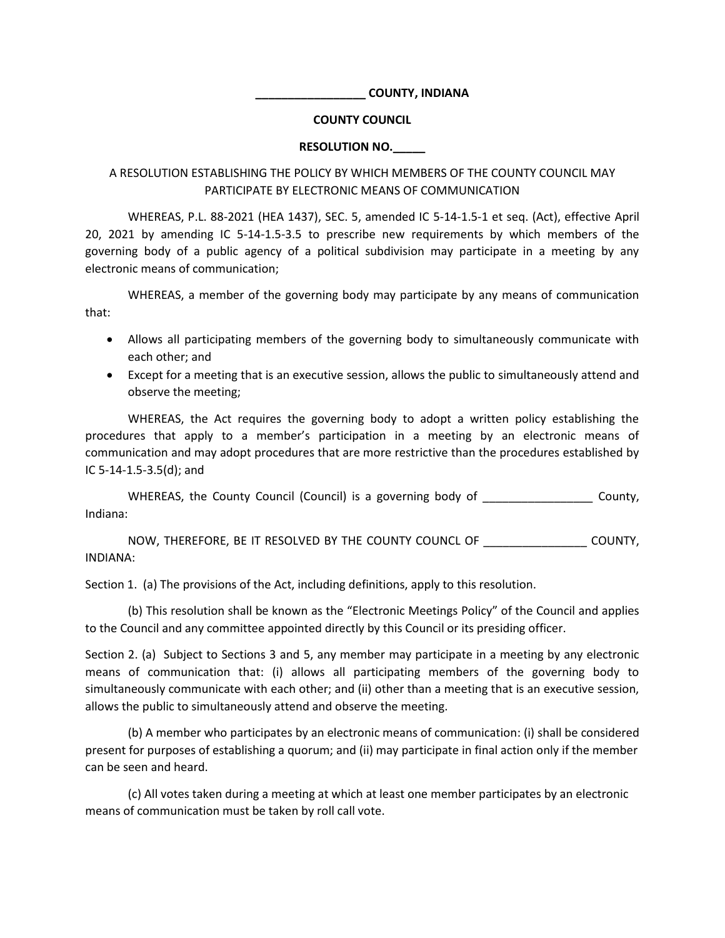## **\_\_\_\_\_\_\_\_\_\_\_\_\_\_\_\_\_ COUNTY, INDIANA**

## **COUNTY COUNCIL**

## **RESOLUTION NO.\_\_\_\_\_**

## A RESOLUTION ESTABLISHING THE POLICY BY WHICH MEMBERS OF THE COUNTY COUNCIL MAY PARTICIPATE BY ELECTRONIC MEANS OF COMMUNICATION

WHEREAS, P.L. 88-2021 (HEA 1437), SEC. 5, amended IC 5-14-1.5-1 et seq. (Act), effective April 20, 2021 by amending IC 5-14-1.5-3.5 to prescribe new requirements by which members of the governing body of a public agency of a political subdivision may participate in a meeting by any electronic means of communication;

WHEREAS, a member of the governing body may participate by any means of communication that:

- Allows all participating members of the governing body to simultaneously communicate with each other; and
- Except for a meeting that is an executive session, allows the public to simultaneously attend and observe the meeting;

WHEREAS, the Act requires the governing body to adopt a written policy establishing the procedures that apply to a member's participation in a meeting by an electronic means of communication and may adopt procedures that are more restrictive than the procedures established by IC 5-14-1.5-3.5(d); and

WHEREAS, the County Council (Council) is a governing body of \_\_\_\_\_\_\_\_\_\_\_\_\_\_\_\_\_\_\_ County, Indiana:

NOW, THEREFORE, BE IT RESOLVED BY THE COUNTY COUNCL OF \_\_\_\_\_\_\_\_\_\_\_\_\_\_\_\_ COUNTY, INDIANA:

Section 1. (a) The provisions of the Act, including definitions, apply to this resolution.

(b) This resolution shall be known as the "Electronic Meetings Policy" of the Council and applies to the Council and any committee appointed directly by this Council or its presiding officer.

Section 2. (a) Subject to Sections 3 and 5, any member may participate in a meeting by any electronic means of communication that: (i) allows all participating members of the governing body to simultaneously communicate with each other; and (ii) other than a meeting that is an executive session, allows the public to simultaneously attend and observe the meeting.

(b) A member who participates by an electronic means of communication: (i) shall be considered present for purposes of establishing a quorum; and (ii) may participate in final action only if the member can be seen and heard.

(c) All votes taken during a meeting at which at least one member participates by an electronic means of communication must be taken by roll call vote.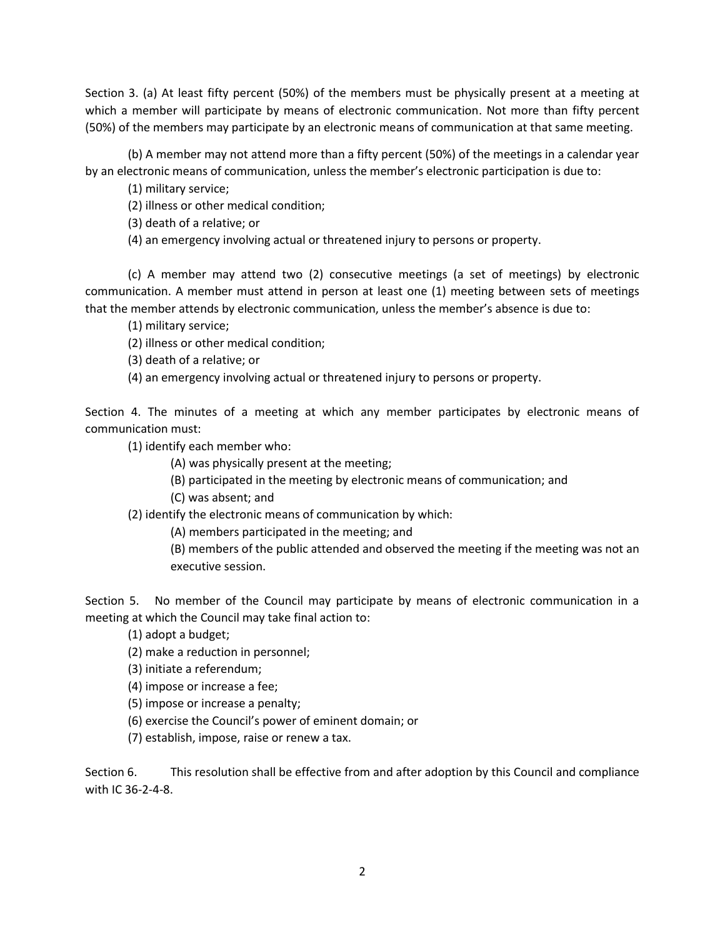Section 3. (a) At least fifty percent (50%) of the members must be physically present at a meeting at which a member will participate by means of electronic communication. Not more than fifty percent (50%) of the members may participate by an electronic means of communication at that same meeting.

(b) A member may not attend more than a fifty percent (50%) of the meetings in a calendar year by an electronic means of communication, unless the member's electronic participation is due to:

(1) military service;

(2) illness or other medical condition;

(3) death of a relative; or

(4) an emergency involving actual or threatened injury to persons or property.

(c) A member may attend two (2) consecutive meetings (a set of meetings) by electronic communication. A member must attend in person at least one (1) meeting between sets of meetings that the member attends by electronic communication, unless the member's absence is due to:

(1) military service;

(2) illness or other medical condition;

(3) death of a relative; or

(4) an emergency involving actual or threatened injury to persons or property.

Section 4. The minutes of a meeting at which any member participates by electronic means of communication must:

(1) identify each member who:

(A) was physically present at the meeting;

- (B) participated in the meeting by electronic means of communication; and
- (C) was absent; and

(2) identify the electronic means of communication by which:

(A) members participated in the meeting; and

(B) members of the public attended and observed the meeting if the meeting was not an executive session.

Section 5. No member of the Council may participate by means of electronic communication in a meeting at which the Council may take final action to:

(1) adopt a budget;

(2) make a reduction in personnel;

(3) initiate a referendum;

(4) impose or increase a fee;

(5) impose or increase a penalty;

(6) exercise the Council's power of eminent domain; or

(7) establish, impose, raise or renew a tax.

Section 6. This resolution shall be effective from and after adoption by this Council and compliance with IC 36-2-4-8.